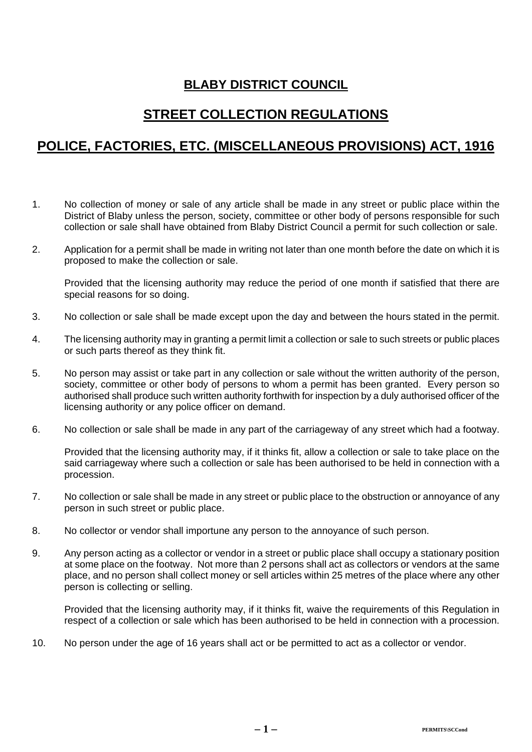## **BLABY DISTRICT COUNCIL**

## **STREET COLLECTION REGULATIONS**

## **POLICE, FACTORIES, ETC. (MISCELLANEOUS PROVISIONS) ACT, 1916**

- 1. No collection of money or sale of any article shall be made in any street or public place within the District of Blaby unless the person, society, committee or other body of persons responsible for such collection or sale shall have obtained from Blaby District Council a permit for such collection or sale.
- 2. Application for a permit shall be made in writing not later than one month before the date on which it is proposed to make the collection or sale.

Provided that the licensing authority may reduce the period of one month if satisfied that there are special reasons for so doing.

- 3. No collection or sale shall be made except upon the day and between the hours stated in the permit.
- 4. The licensing authority may in granting a permit limit a collection or sale to such streets or public places or such parts thereof as they think fit.
- 5. No person may assist or take part in any collection or sale without the written authority of the person, society, committee or other body of persons to whom a permit has been granted. Every person so authorised shall produce such written authority forthwith for inspection by a duly authorised officer of the licensing authority or any police officer on demand.
- 6. No collection or sale shall be made in any part of the carriageway of any street which had a footway.

Provided that the licensing authority may, if it thinks fit, allow a collection or sale to take place on the said carriageway where such a collection or sale has been authorised to be held in connection with a procession.

- 7. No collection or sale shall be made in any street or public place to the obstruction or annoyance of any person in such street or public place.
- 8. No collector or vendor shall importune any person to the annoyance of such person.
- 9. Any person acting as a collector or vendor in a street or public place shall occupy a stationary position at some place on the footway. Not more than 2 persons shall act as collectors or vendors at the same place, and no person shall collect money or sell articles within 25 metres of the place where any other person is collecting or selling.

Provided that the licensing authority may, if it thinks fit, waive the requirements of this Regulation in respect of a collection or sale which has been authorised to be held in connection with a procession.

10. No person under the age of 16 years shall act or be permitted to act as a collector or vendor.